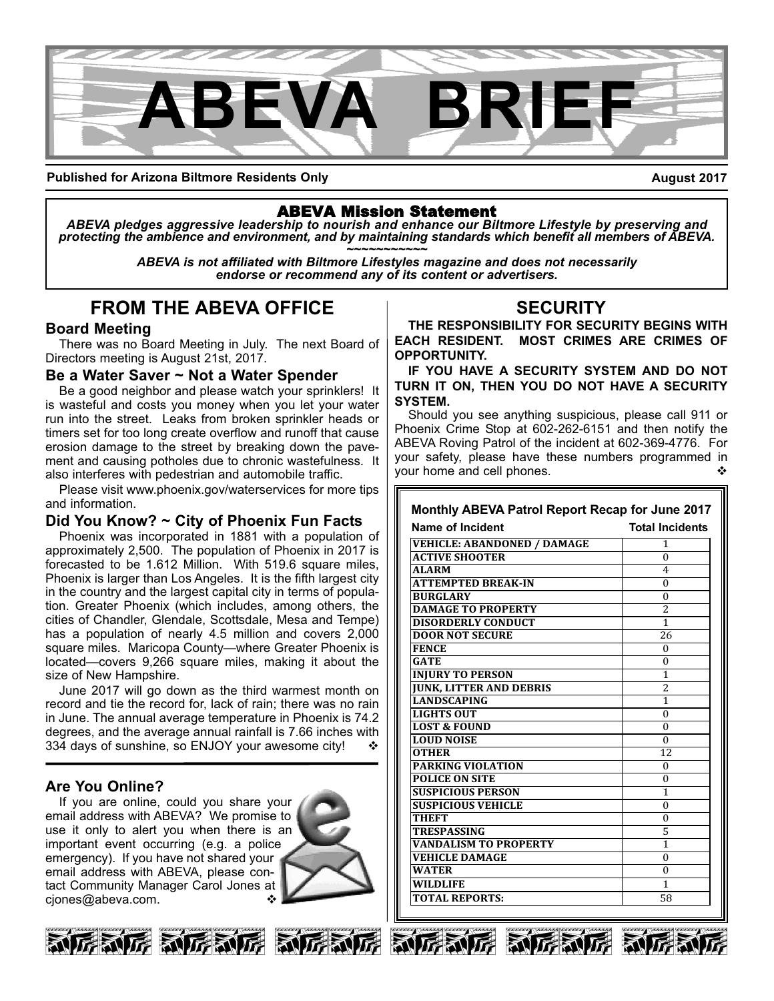

**Published for Arizona Biltmore Residents Only**

**August 2017**

## ABEVA Mission Statement

*ABEVA pledges aggressive leadership to nourish and enhance our Biltmore Lifestyle by preserving and* protecting the ambience and environment, and by maintaining standards which benefit all members of ABEVA.<br>ABEVA is not affiliated with Biltmore Lifestyles magazine and does not necessarily

*endorse or recommend any of its content or advertisers.*

# **FROM THE ABEVA OFFICE**

## **Board Meeting**

There was no Board Meeting in July. The next Board of Directors meeting is August 21st, 2017.

### **Be a Water Saver ~ Not a Water Spender**

Be a good neighbor and please watch your sprinklers! It is wasteful and costs you money when you let your water run into the street. Leaks from broken sprinkler heads or timers set for too long create overflow and runoff that cause erosion damage to the street by breaking down the pavement and causing potholes due to chronic wastefulness. It also interferes with pedestrian and automobile traffic.

Please visit www.phoenix.gov/waterservices for more tips and information.

## **Did You Know? ~ City of Phoenix Fun Facts**

Phoenix was incorporated in 1881 with a population of approximately 2,500. The population of Phoenix in 2017 is forecasted to be 1.612 Million. With 519.6 square miles, Phoenix is larger than Los Angeles. It is the fifth largest city in the country and the largest capital city in terms of population. Greater Phoenix (which includes, among others, the cities of Chandler, Glendale, Scottsdale, Mesa and Tempe) has a population of nearly 4.5 million and covers 2,000 square miles. Maricopa County—where Greater Phoenix is located—covers 9,266 square miles, making it about the size of New Hampshire.

June 2017 will go down as the third warmest month on record and tie the record for, lack of rain; there was no rain in June. The annual average temperature in Phoenix is 74.2 degrees, and the average annual rainfall is 7.66 inches with 334 days of sunshine, so ENJOY your awesome city!

## **Are You Online?**

If you are online, could you share your email address with ABEVA? We promise to use it only to alert you when there is an important event occurring (e.g. a police emergency). If you have not shared your email address with ABEVA, please contact Community Manager Carol Jones at cjones@abeva.com.









# **SECURITY**

**THE RESPONSIBILITY FOR SECURITY BEGINS WITH EACH RESIDENT. MOST CRIMES ARE CRIMES OF OPPORTUNITY.** 

**IF YOU HAVE A SECURITY SYSTEM AND DO NOT TURN IT ON, THEN YOU DO NOT HAVE A SECURITY SYSTEM.**

Should you see anything suspicious, please call 911 or Phoenix Crime Stop at 602-262-6151 and then notify the ABEVA Roving Patrol of the incident at 602-369-4776. For your safety, please have these numbers programmed in your home and cell phones.

#### **VEHICLE: ABANDONED / DAMAGE**  $\begin{bmatrix} 1 \\ 0 \end{bmatrix}$ **ACTIVE SHOOTER** 0<br>ALARM 4 **ALARM** 4 **ATTEMPTED BREAK-IN** 0 **BURGLARY** 0 **Monthly ABEVA Patrol Report Recap for June 2017 Name of Incident Construction Construction Total Incidents**

| <b>DAMAGE TO PROPERTY</b>      | $\overline{c}$           |
|--------------------------------|--------------------------|
| <b>DISORDERLY CONDUCT</b>      | 1                        |
| <b>DOOR NOT SECURE</b>         | 26                       |
| <b>FENCE</b>                   | $\Omega$                 |
| <b>GATE</b>                    | $\Omega$                 |
| <b>INJURY TO PERSON</b>        | 1                        |
| <b>JUNK, LITTER AND DEBRIS</b> | $\overline{\mathcal{L}}$ |
| <b>LANDSCAPING</b>             | 1                        |
| <b>LIGHTS OUT</b>              | $\Omega$                 |
| <b>LOST &amp; FOUND</b>        | $\Omega$                 |
| <b>LOUD NOISE</b>              | $\Omega$                 |
| <b>OTHER</b>                   | 12                       |
| <b>PARKING VIOLATION</b>       | $\Omega$                 |
| <b>POLICE ON SITE</b>          | $\theta$                 |
| <b>SUSPICIOUS PERSON</b>       | 1                        |
| <b>SUSPICIOUS VEHICLE</b>      | $\Omega$                 |
| THEFT                          | $\Omega$                 |
| <b>TRESPASSING</b>             | 5                        |
| <b>VANDALISM TO PROPERTY</b>   | 1                        |
| <b>VEHICLE DAMAGE</b>          | $\Omega$                 |
| <b>WATER</b>                   | $\Omega$                 |
| <b>WILDLIFE</b>                | 1                        |
| <b>TOTAL REPORTS:</b>          | 58                       |





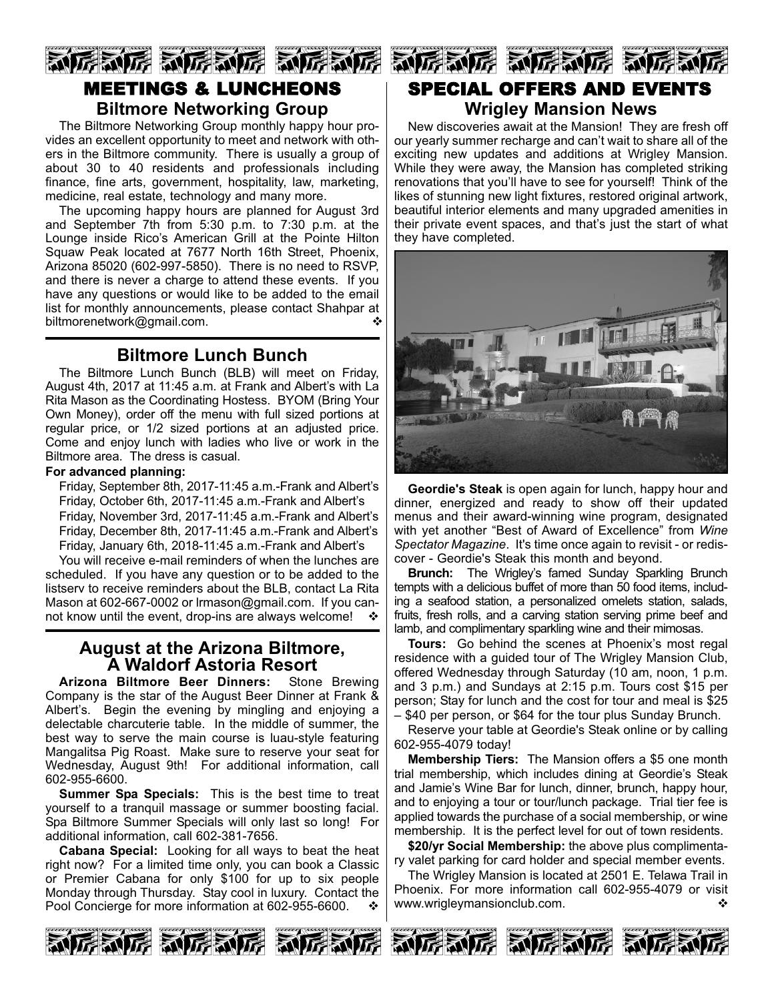# 厉威厉 动厉威厉 动厉威厉 MEETINGS & LUNCHEONS **Biltmore Networking Group**

The Biltmore Networking Group monthly happy hour provides an excellent opportunity to meet and network with others in the Biltmore community. There is usually a group of about 30 to 40 residents and professionals including finance, fine arts, government, hospitality, law, marketing, medicine, real estate, technology and many more.

The upcoming happy hours are planned for August 3rd and September 7th from 5:30 p.m. to 7:30 p.m. at the Lounge inside Rico's American Grill at the Pointe Hilton Squaw Peak located at 7677 North 16th Street, Phoenix, Arizona 85020 (602-997-5850). There is no need to RSVP, and there is never a charge to attend these events. If you have any questions or would like to be added to the email list for monthly announcements, please contact Shahpar at biltmorenetwork@gmail.com. v

## **Biltmore Lunch Bunch**

The Biltmore Lunch Bunch (BLB) will meet on Friday, August 4th, 2017 at 11:45 a.m. at Frank and Albert's with La Rita Mason as the Coordinating Hostess. BYOM (Bring Your Own Money), order off the menu with full sized portions at regular price, or 1/2 sized portions at an adjusted price. Come and enjoy lunch with ladies who live or work in the Biltmore area. The dress is casual.

#### **For advanced planning:**

Friday, September 8th, 2017-11:45 a.m.-Frank and Albert's Friday, October 6th, 2017-11:45 a.m.-Frank and Albert's Friday, November 3rd, 2017-11:45 a.m.-Frank and Albert's Friday, December 8th, 2017-11:45 a.m.-Frank and Albert's Friday, January 6th, 2018-11:45 a.m.-Frank and Albert's

You will receive e-mail reminders of when the lunches are scheduled. If you have any question or to be added to the listserv to receive reminders about the BLB, contact La Rita Mason at 602-667-0002 or Irmason@gmail.com. If you cannot know until the event, drop-ins are always welcome!  $\cdot \cdot$ 

# **August at the Arizona Biltmore,<br>
A Waldorf Astoria Resort<br>
<b>Exona Biltmore Beer Dinners:** Stone Brewing

**Arizona Biltmore Beer Dinners:** Company is the star of the August Beer Dinner at Frank & Albert's. Begin the evening by mingling and enjoying a delectable charcuterie table. In the middle of summer, the best way to serve the main course is luau-style featuring Mangalitsa Pig Roast. Make sure to reserve your seat for Wednesday, August 9th! For additional information, call 602-955-6600.

**Summer Spa Specials:** This is the best time to treat yourself to a tranquil massage or summer boosting facial. Spa Biltmore Summer Specials will only last so long! For additional information, call 602-381-7656.

**Cabana Special:** Looking for all ways to beat the heat right now? For a limited time only, you can book a Classic or Premier Cabana for only \$100 for up to six people Monday through Thursday. Stay cool in luxury. Contact the Pool Concierge for more information at 602-955-6600.



# SPECIAL OFFERS AND EVENTS **Wrigley Mansion News**

New discoveries await at the Mansion! They are fresh off our yearly summer recharge and can't wait to share all of the exciting new updates and additions at Wrigley Mansion. While they were away, the Mansion has completed striking renovations that you'll have to see for yourself! Think of the likes of stunning new light fixtures, restored original artwork, beautiful interior elements and many upgraded amenities in their private event spaces, and that's just the start of what they have completed.



**Geordie's Steak** is open again for lunch, happy hour and dinner, energized and ready to show off their updated menus and their award-winning wine program, designated with yet another "Best of Award of Excellence" from *Wine Spectator Magazine.* It's time once again to revisit - or rediscover Geordie's Steak this month and beyond.

**Brunch:** The Wrigley's famed Sunday Sparkling Brunch tempts with a delicious buffet of more than 50 food items, including a seafood station, a personalized omelets station, salads, fruits, fresh rolls, and a carving station serving prime beef and lamb, and complimentary sparkling wine and their mimosas.

**Tours:** Go behind the scenes at Phoenix's most regal residence with a guided tour of The Wrigley Mansion Club, offered Wednesday through Saturday (10 am, noon, 1 p.m. and 3 p.m.) and Sundays at 2:15 p.m. Tours cost \$15 per person; Stay for lunch and the cost for tour and meal is \$25 – \$40 per person, or \$64 for the tour plus Sunday Brunch.

Reserve your table at Geordie's Steak online or by calling 6029554079 today!

**Membership Tiers:** The Mansion offers a \$5 one month trial membership, which includes dining at Geordie's Steak and Jamie's Wine Bar for lunch, dinner, brunch, happy hour, and to enjoying a tour or tour/lunch package. Trial tier fee is applied towards the purchase of a social membership, or wine membership. It is the perfect level for out of town residents.

**\$20/yr Social Membership:** the above plus complimentary valet parking for card holder and special member events.

The Wrigley Mansion is located at 2501 E. Telawa Trail in Phoenix. For more information call 602-955-4079 or visit www.wrigleymansionclub.com.

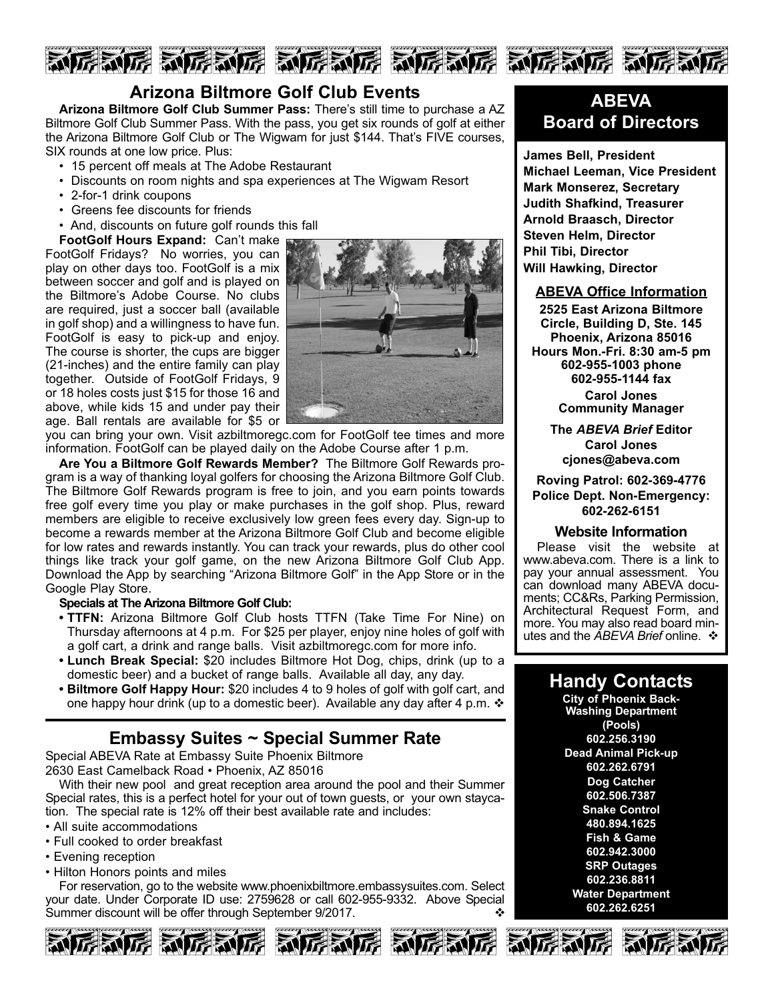

## **Arizona Biltmore Golf Club Events**

**Arizona Biltmore Golf Club Summer Pass:** There's still time to purchase a AZ Biltmore Golf Club Summer Pass. With the pass, you get six rounds of golf at either the Arizona Biltmore Golf Club or The Wigwam for just \$144. That's FIVE courses, SIX rounds at one low price. Plus:

- 15 percent off meals at The Adobe Restaurant
- Discounts on room nights and spa experiences at The Wigwam Resort
- 2-for-1 drink coupons
- Greens fee discounts for friends
- And, discounts on future golf rounds this fall

**FootGolf Hours Expand:** Can't make FootGolf Fridays? No worries, you can play on other days too. FootGolf is a mix between soccer and golf and is played on the Biltmore's Adobe Course. No clubs are required, just a soccer ball (available in golf shop) and a willingness to have fun. FootGolf is easy to pick-up and enjoy. The course is shorter, the cups are bigger (21-inches) and the entire family can play together. Outside of FootGolf Fridays, 9 or 18 holes costs just \$15 for those 16 and above, while kids 15 and under pay their age. Ball rentals are available for \$5 or



you can bring your own. Visit azbiltmoregc.com for FootGolf tee times and more information. FootGolf can be played daily on the Adobe Course after 1 p.m.

**Are You a Biltmore Golf Rewards Member?** The Biltmore Golf Rewards program is a way of thanking loyal golfers for choosing the Arizona Biltmore Golf Club. The Biltmore Golf Rewards program is free to join, and you earn points towards free golf every time you play or make purchases in the golf shop. Plus, reward members are eligible to receive exclusively low green fees every day. Sign-up to become a rewards member at the Arizona Biltmore Golf Club and become eligible for low rates and rewards instantly. You can track your rewards, plus do other cool things like track your golf game, on the new Arizona Biltmore Golf Club App. Download the App by searching "Arizona Biltmore Golf" in the App Store or in the Google Play Store.

#### **Specials at The Arizona Biltmore Golf Club:**

- **TTFN:** Arizona Biltmore Golf Club hosts TTFN (Take Time For Nine) on Thursday afternoons at 4 p.m. For \$25 per player, enjoy nine holes of golf with a golf cart, a drink and range balls. Visit azbiltmoregc.com for more info.
- **Lunch Break Special:** \$20 includes Biltmore Hot Dog, chips, drink (up to a domestic beer) and a bucket of range balls. Available all day, any day.
- **Biltmore Golf Happy Hour:** \$20 includes 4 to 9 holes of golf with golf cart, and one happy hour drink (up to a domestic beer). Available any day after 4 p.m.  $\cdot$

## **Embassy Suites ~ Special Summer Rate**

Special ABEVA Rate at Embassy Suite Phoenix Biltmore 2630 East Camelback Road • Phoenix, AZ 85016

With their new pool and great reception area around the pool and their Summer Special rates, this is a perfect hotel for your out of town guests, or your own staycation. The special rate is 12% off their best available rate and includes:

- All suite accommodations
- Full cooked to order breakfast
- Evening reception
- Hilton Honors points and miles

For reservation, go to the website www.phoenixbiltmore.embassysuites.com. Select your date. Under Corporate ID use: 2759628 or call 602-955-9332. Above Special Summer discount will be offer through September 9/2017.







# **ABEVA Board of Directors**

**James Bell, President Michael Leeman, Vice President Mark Monserez, Secretary Judith Shafkind, Treasurer Arnold Braasch, Director Steven Helm, Director Phil Tibi, Director Will Hawking, Director**

#### **ABEVA Office Information**

**2525 East Arizona Biltmore Circle, Building D, Ste. 145 Phoenix, Arizona 85016 Hours Mon.Fri. 8:30 am5 pm 6029551003 phone 6029551144 fax Carol Jones Community Manager**

> **The** *ABEVA Brief* **Editor Carol Jones cjones@abeva.com**

**Roving Patrol: 6023694776 Police Dept. Non-Emergency: 6022626151**

#### **Website Information**

Please visit the website at www.abeva.com. There is a link to pay your annual assessment. You can download many ABEVA documents; CC&Rs, Parking Permission, Architectural Request Form, and more. You may also read board minutes and the *ABEVA Brief* online. ❖

## **Handy Contacts**

**City of Phoenix Back-Washing Department (Pools) 602.256.3190 Dead Animal Pick-up 602.262.6791 Dog Catcher 602.506.7387 Snake Control 480.894.1625 Fish & Game 602.942.3000 SRP Outages 602.236.8811 Water Department 602.262.6251**